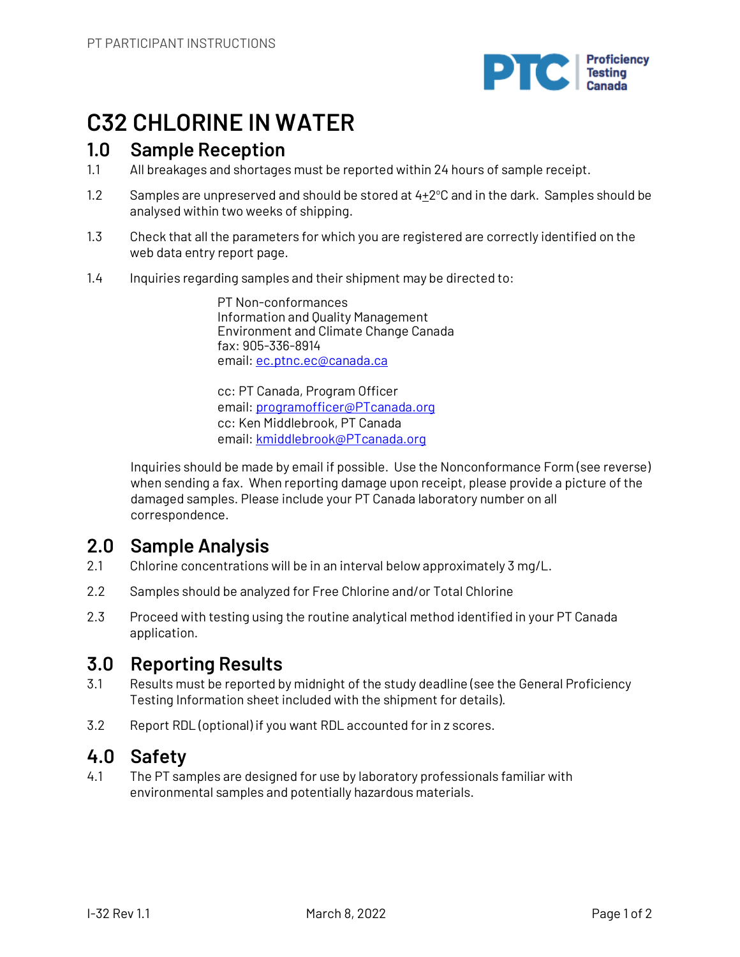

# **C32 CHLORINE IN WATER**

# **1.0 Sample Reception**

- 1.1 All breakages and shortages must be reported within 24 hours of sample receipt.
- 1.2 Samples are unpreserved and should be stored at  $4\pm 2^{\circ}$ C and in the dark. Samples should be analysed within two weeks of shipping.
- 1.3 Check that all the parameters for which you are registered are correctly identified on the web data entry report page.
- 1.4 Inquiries regarding samples and their shipment may be directed to:

PT Non-conformances Information and Quality Management Environment and Climate Change Canada fax: 905-336-8914 email: ec.ptnc.ec@canada.ca

cc: PT Canada, Program Officer email: programofficer@PTcanada.org cc: Ken Middlebrook, PT Canada email: kmiddlebrook@PTcanada.org

Inquiries should be made by email if possible. Use the Nonconformance Form (see reverse) when sending a fax. When reporting damage upon receipt, please provide a picture of the damaged samples. Please include your PT Canada laboratory number on all correspondence.

# **2.0 Sample Analysis**

- 2.1 Chlorine concentrations will be in an interval below approximately 3 mg/L.
- 2.2 Samples should be analyzed for Free Chlorine and/or Total Chlorine
- 2.3 Proceed with testing using the routine analytical method identified in your PT Canada application.

# **3.0 Reporting Results**

- 3.1 Results must be reported by midnight of the study deadline (see the General Proficiency Testing Information sheet included with the shipment for details).
- 3.2 Report RDL (optional) if you want RDL accounted for in z scores.

# **4.0 Safety**

4.1 The PT samples are designed for use by laboratory professionals familiar with environmental samples and potentially hazardous materials.